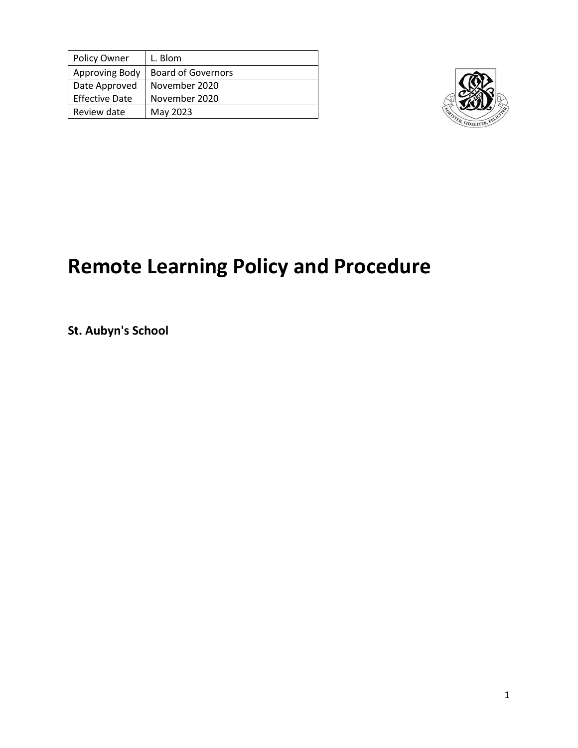| Policy Owner          | L. Blom                   |
|-----------------------|---------------------------|
| Approving Body        | <b>Board of Governors</b> |
| Date Approved         | November 2020             |
| <b>Effective Date</b> | November 2020             |
| Review date           | May 2023                  |



# **Remote Learning Policy and Procedure**

**St. Aubyn's School**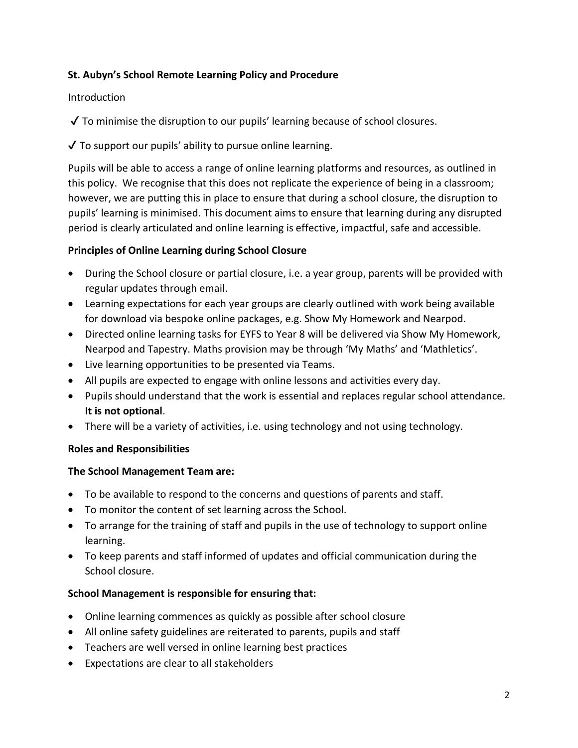# **St. Aubyn's School Remote Learning Policy and Procedure**

## Introduction

✔ To minimise the disruption to our pupils' learning because of school closures.

 $\sqrt{\ }$  To support our pupils' ability to pursue online learning.

Pupils will be able to access a range of online learning platforms and resources, as outlined in this policy. We recognise that this does not replicate the experience of being in a classroom; however, we are putting this in place to ensure that during a school closure, the disruption to pupils' learning is minimised. This document aims to ensure that learning during any disrupted period is clearly articulated and online learning is effective, impactful, safe and accessible.

# **Principles of Online Learning during School Closure**

- During the School closure or partial closure, i.e. a year group, parents will be provided with regular updates through email.
- Learning expectations for each year groups are clearly outlined with work being available for download via bespoke online packages, e.g. Show My Homework and Nearpod.
- Directed online learning tasks for EYFS to Year 8 will be delivered via Show My Homework, Nearpod and Tapestry. Maths provision may be through 'My Maths' and 'Mathletics'.
- Live learning opportunities to be presented via Teams.
- All pupils are expected to engage with online lessons and activities every day.
- Pupils should understand that the work is essential and replaces regular school attendance. **It is not optional**.
- There will be a variety of activities, i.e. using technology and not using technology.

# **Roles and Responsibilities**

# **The School Management Team are:**

- To be available to respond to the concerns and questions of parents and staff.
- To monitor the content of set learning across the School.
- To arrange for the training of staff and pupils in the use of technology to support online learning.
- To keep parents and staff informed of updates and official communication during the School closure.

# **School Management is responsible for ensuring that:**

- Online learning commences as quickly as possible after school closure
- All online safety guidelines are reiterated to parents, pupils and staff
- Teachers are well versed in online learning best practices
- Expectations are clear to all stakeholders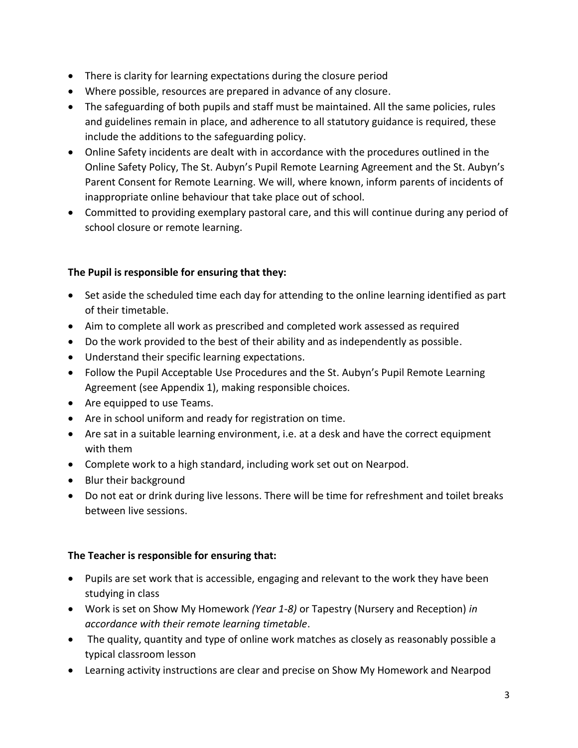- There is clarity for learning expectations during the closure period
- Where possible, resources are prepared in advance of any closure.
- The safeguarding of both pupils and staff must be maintained. All the same policies, rules and guidelines remain in place, and adherence to all statutory guidance is required, these include the additions to the safeguarding policy.
- Online Safety incidents are dealt with in accordance with the procedures outlined in the Online Safety Policy, The St. Aubyn's Pupil Remote Learning Agreement and the St. Aubyn's Parent Consent for Remote Learning. We will, where known, inform parents of incidents of inappropriate online behaviour that take place out of school.
- Committed to providing exemplary pastoral care, and this will continue during any period of school closure or remote learning.

# **The Pupil is responsible for ensuring that they:**

- Set aside the scheduled time each day for attending to the online learning identified as part of their timetable.
- Aim to complete all work as prescribed and completed work assessed as required
- Do the work provided to the best of their ability and as independently as possible.
- Understand their specific learning expectations.
- Follow the Pupil Acceptable Use Procedures and the St. Aubyn's Pupil Remote Learning Agreement (see Appendix 1), making responsible choices.
- Are equipped to use Teams.
- Are in school uniform and ready for registration on time.
- Are sat in a suitable learning environment, i.e. at a desk and have the correct equipment with them
- Complete work to a high standard, including work set out on Nearpod.
- Blur their background
- Do not eat or drink during live lessons. There will be time for refreshment and toilet breaks between live sessions.

# **The Teacher is responsible for ensuring that:**

- Pupils are set work that is accessible, engaging and relevant to the work they have been studying in class
- Work is set on Show My Homework *(Year 1-8)* or Tapestry (Nursery and Reception) *in accordance with their remote learning timetable*.
- The quality, quantity and type of online work matches as closely as reasonably possible a typical classroom lesson
- Learning activity instructions are clear and precise on Show My Homework and Nearpod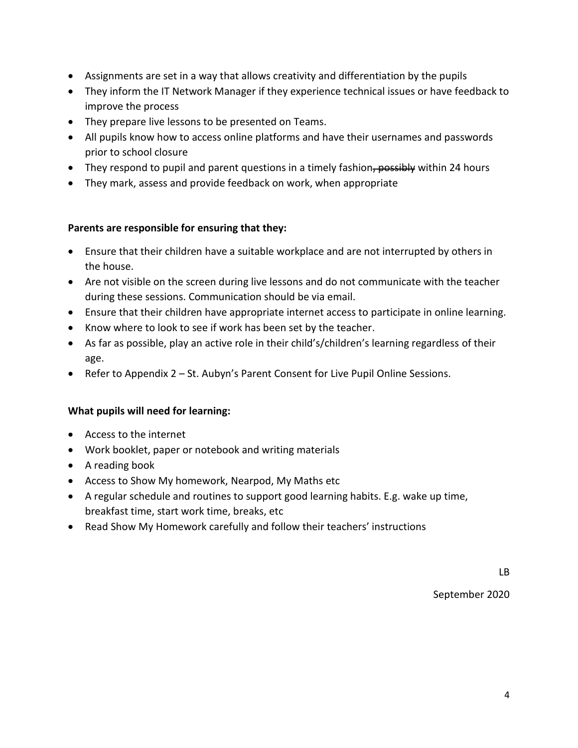- Assignments are set in a way that allows creativity and differentiation by the pupils
- They inform the IT Network Manager if they experience technical issues or have feedback to improve the process
- They prepare live lessons to be presented on Teams.
- All pupils know how to access online platforms and have their usernames and passwords prior to school closure
- They respond to pupil and parent questions in a timely fashion, possibly within 24 hours
- They mark, assess and provide feedback on work, when appropriate

# **Parents are responsible for ensuring that they:**

- Ensure that their children have a suitable workplace and are not interrupted by others in the house.
- Are not visible on the screen during live lessons and do not communicate with the teacher during these sessions. Communication should be via email.
- Ensure that their children have appropriate internet access to participate in online learning.
- Know where to look to see if work has been set by the teacher.
- As far as possible, play an active role in their child's/children's learning regardless of their age.
- Refer to Appendix 2 St. Aubyn's Parent Consent for Live Pupil Online Sessions.

# **What pupils will need for learning:**

- Access to the internet
- Work booklet, paper or notebook and writing materials
- A reading book
- Access to Show My homework, Nearpod, My Maths etc
- A regular schedule and routines to support good learning habits. E.g. wake up time, breakfast time, start work time, breaks, etc
- Read Show My Homework carefully and follow their teachers' instructions

September 2020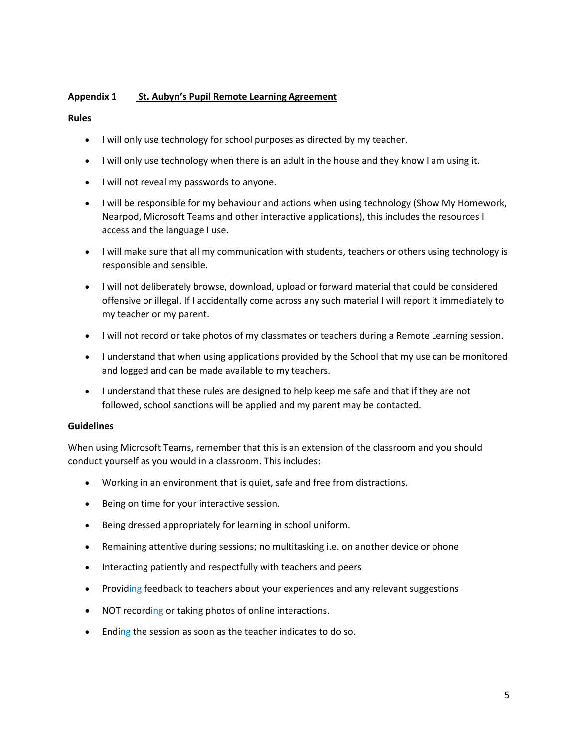### **Appendix 1 St. Aubyn's Pupil Remote Learning Agreement**

#### **Rules**

- I will only use technology for school purposes as directed by my teacher.
- I will only use technology when there is an adult in the house and they know I am using it.
- I will not reveal my passwords to anyone.
- I will be responsible for my behaviour and actions when using technology (Show My Homework, Nearpod, Microsoft Teams and other interactive applications), this includes the resources I access and the language I use.
- I will make sure that all my communication with students, teachers or others using technology is responsible and sensible.
- I will not deliberately browse, download, upload or forward material that could be considered offensive or illegal. If I accidentally come across any such material I will report it immediately to my teacher or my parent.
- I will not record or take photos of my classmates or teachers during a Remote Learning session.
- I understand that when using applications provided by the School that my use can be monitored and logged and can be made available to my teachers.
- I understand that these rules are designed to help keep me safe and that if they are not followed, school sanctions will be applied and my parent may be contacted.

#### **Guidelines**

When using Microsoft Teams, remember that this is an extension of the classroom and you should conduct yourself as you would in a classroom. This includes:

- Working in an environment that is quiet, safe and free from distractions.
- Being on time for your interactive session.
- Being dressed appropriately for learning in school uniform.
- Remaining attentive during sessions; no multitasking i.e. on another device or phone
- Interacting patiently and respectfully with teachers and peers
- Providing feedback to teachers about your experiences and any relevant suggestions
- NOT recording or taking photos of online interactions.
- Ending the session as soon as the teacher indicates to do so.